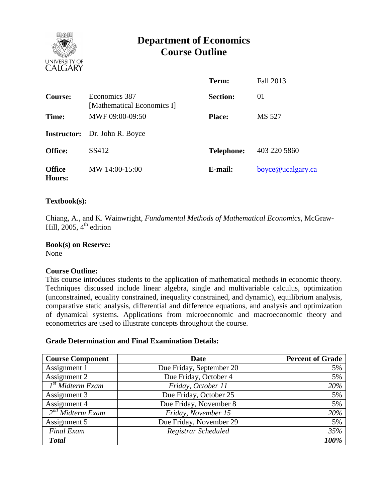

# **Department of Economics Course Outline**

|                         |                                             | Term:             | Fall 2013         |
|-------------------------|---------------------------------------------|-------------------|-------------------|
| <b>Course:</b>          | Economics 387<br>[Mathematical Economics I] | <b>Section:</b>   | 01                |
| Time:                   | MWF 09:00-09:50                             | <b>Place:</b>     | MS 527            |
|                         | <b>Instructor:</b> Dr. John R. Boyce        |                   |                   |
| <b>Office:</b>          | SS412                                       | <b>Telephone:</b> | 403 220 5860      |
| <b>Office</b><br>Hours: | MW 14:00-15:00                              | E-mail:           | boyce@ucalgary.ca |

# **Textbook(s):**

Chiang, A., and K. Wainwright, *Fundamental Methods of Mathematical Economics*, McGraw-Hill, 2005,  $4<sup>th</sup>$  edition

**Book(s) on Reserve:** None

## **Course Outline:**

This course introduces students to the application of mathematical methods in economic theory. Techniques discussed include linear algebra, single and multivariable calculus, optimization (unconstrained, equality constrained, inequality constrained, and dynamic), equilibrium analysis, comparative static analysis, differential and difference equations, and analysis and optimization of dynamical systems. Applications from microeconomic and macroeconomic theory and econometrics are used to illustrate concepts throughout the course.

#### **Grade Determination and Final Examination Details:**

| <b>Course Component</b>          | Date                     | <b>Percent of Grade</b> |  |
|----------------------------------|--------------------------|-------------------------|--|
| Assignment 1                     | Due Friday, September 20 | 5%                      |  |
| Assignment 2                     | Due Friday, October 4    | 5%                      |  |
| $\overline{I^{st}}$ Midterm Exam | Friday, October 11       | 20%                     |  |
| Assignment 3                     | Due Friday, October 25   | 5%                      |  |
| Assignment 4                     | Due Friday, November 8   | 5%                      |  |
| $2nd$ Midterm Exam               | Friday, November 15      | 20%                     |  |
| Assignment 5                     | Due Friday, November 29  | 5%                      |  |
| <b>Final Exam</b>                | Registrar Scheduled      | 35%                     |  |
| <b>Total</b>                     |                          | 100%                    |  |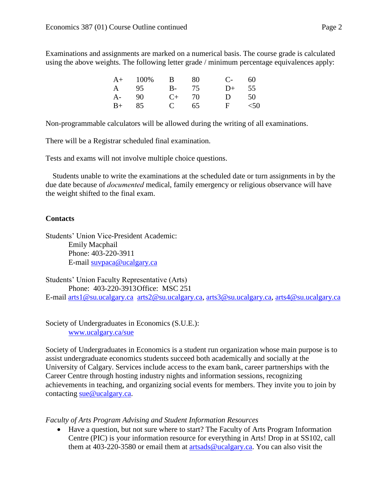Examinations and assignments are marked on a numerical basis. The course grade is calculated using the above weights. The following letter grade / minimum percentage equivalences apply:

|       | $A+$ 100%  | $\mathbf{B}$ | -80 | $C-$ 60   |    |
|-------|------------|--------------|-----|-----------|----|
|       | A 95 B- 75 |              |     | $D+$      | 55 |
| A- 90 |            | $C_{+}$ 70   |     | $D \t 50$ |    |
| $B+$  | -85        | $C = 65$     |     | F $<$ 50  |    |

Non-programmable calculators will be allowed during the writing of all examinations.

There will be a Registrar scheduled final examination.

Tests and exams will not involve multiple choice questions.

Students unable to write the examinations at the scheduled date or turn assignments in by the due date because of *documented* medical, family emergency or religious observance will have the weight shifted to the final exam.

## **Contacts**

Students' Union Vice-President Academic: Emily Macphail Phone: 403-220-3911 E-mail [suvpaca@ucalgary.ca](mailto:subpaca@ucalgary.ca)

Students' Union Faculty Representative (Arts) Phone: 403-220-3913Office: MSC 251 E-mail [arts1@su.ucalgary.ca](mailto:arts1@su.ucalgary.ca) [arts2@su.ucalgary.ca,](mailto:arts2@su.ucalgary.ca) [arts3@su.ucalgary.ca,](mailto:arts3@su.ucalgary.ca) [arts4@su.ucalgary.ca](mailto:arts4@su.ucalgary.ca)

Society of Undergraduates in Economics (S.U.E.): [www.ucalgary.ca/sue](http://www.fp.ucalgary.ca/econ)

Society of Undergraduates in Economics is a student run organization whose main purpose is to assist undergraduate economics students succeed both academically and socially at the University of Calgary. Services include access to the exam bank, career partnerships with the Career Centre through hosting industry nights and information sessions, recognizing achievements in teaching, and organizing social events for members. They invite you to join by contacting <u>sue@ucalgary.ca</u>.

*Faculty of Arts Program Advising and Student Information Resources*

 Have a question, but not sure where to start? The Faculty of Arts Program Information Centre (PIC) is your information resource for everything in Arts! Drop in at SS102, call them at 403-220-3580 or email them at [artsads@ucalgary.ca.](mailto:artsads@ucalgary.ca) You can also visit the